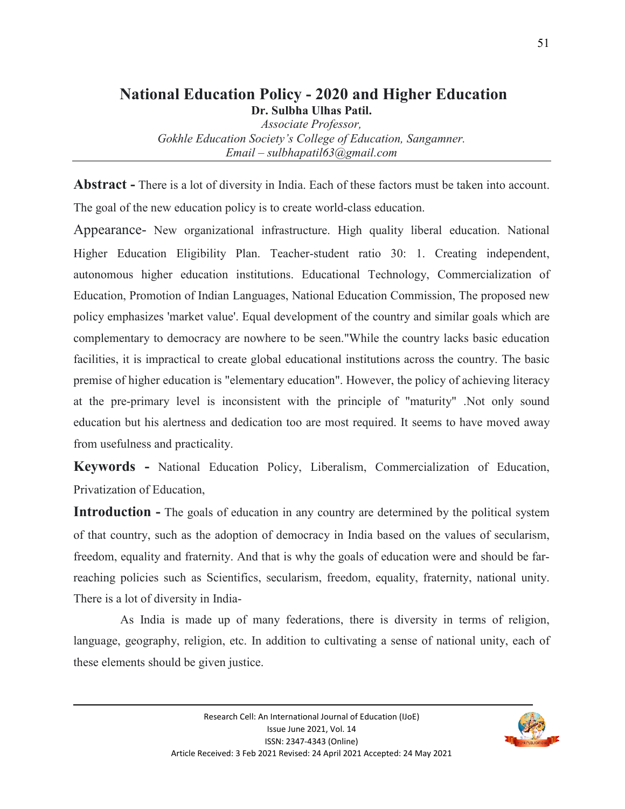#### **National Education Policy - 2020 and Higher Education Dr. Sulbha Ulhas Patil.**

*Associate Professor,* 

*Gokhle Education Society's College of Education, Sangamner. Email – sulbhapatil63@gmail.com* 

**Abstract -** There is a lot of diversity in India. Each of these factors must be taken into account. The goal of the new education policy is to create world-class education.

Appearance- New organizational infrastructure. High quality liberal education. National Higher Education Eligibility Plan. Teacher-student ratio 30: 1. Creating independent, autonomous higher education institutions. Educational Technology, Commercialization of Education, Promotion of Indian Languages, National Education Commission, The proposed new policy emphasizes 'market value'. Equal development of the country and similar goals which are complementary to democracy are nowhere to be seen."While the country lacks basic education facilities, it is impractical to create global educational institutions across the country. The basic premise of higher education is "elementary education". However, the policy of achieving literacy at the pre-primary level is inconsistent with the principle of "maturity" .Not only sound education but his alertness and dedication too are most required. It seems to have moved away from usefulness and practicality.

**Keywords -** National Education Policy, Liberalism, Commercialization of Education, Privatization of Education,

**Introduction -** The goals of education in any country are determined by the political system of that country, such as the adoption of democracy in India based on the values of secularism, freedom, equality and fraternity. And that is why the goals of education were and should be farreaching policies such as Scientifics, secularism, freedom, equality, fraternity, national unity. There is a lot of diversity in India-

 As India is made up of many federations, there is diversity in terms of religion, language, geography, religion, etc. In addition to cultivating a sense of national unity, each of these elements should be given justice.

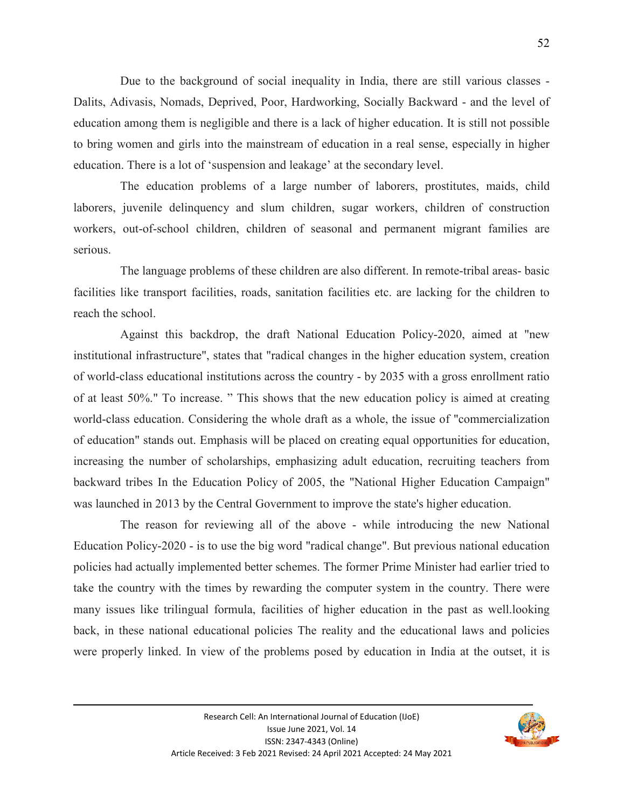Due to the background of social inequality in India, there are still various classes - Dalits, Adivasis, Nomads, Deprived, Poor, Hardworking, Socially Backward - and the level of education among them is negligible and there is a lack of higher education. It is still not possible to bring women and girls into the mainstream of education in a real sense, especially in higher education. There is a lot of 'suspension and leakage' at the secondary level.

 The education problems of a large number of laborers, prostitutes, maids, child laborers, juvenile delinquency and slum children, sugar workers, children of construction workers, out-of-school children, children of seasonal and permanent migrant families are serious.

 The language problems of these children are also different. In remote-tribal areas- basic facilities like transport facilities, roads, sanitation facilities etc. are lacking for the children to reach the school.

 Against this backdrop, the draft National Education Policy-2020, aimed at "new institutional infrastructure", states that "radical changes in the higher education system, creation of world-class educational institutions across the country - by 2035 with a gross enrollment ratio of at least 50%." To increase. " This shows that the new education policy is aimed at creating world-class education. Considering the whole draft as a whole, the issue of "commercialization of education" stands out. Emphasis will be placed on creating equal opportunities for education, increasing the number of scholarships, emphasizing adult education, recruiting teachers from backward tribes In the Education Policy of 2005, the "National Higher Education Campaign" was launched in 2013 by the Central Government to improve the state's higher education.

 The reason for reviewing all of the above - while introducing the new National Education Policy-2020 - is to use the big word "radical change". But previous national education policies had actually implemented better schemes. The former Prime Minister had earlier tried to take the country with the times by rewarding the computer system in the country. There were many issues like trilingual formula, facilities of higher education in the past as well.looking back, in these national educational policies The reality and the educational laws and policies were properly linked. In view of the problems posed by education in India at the outset, it is

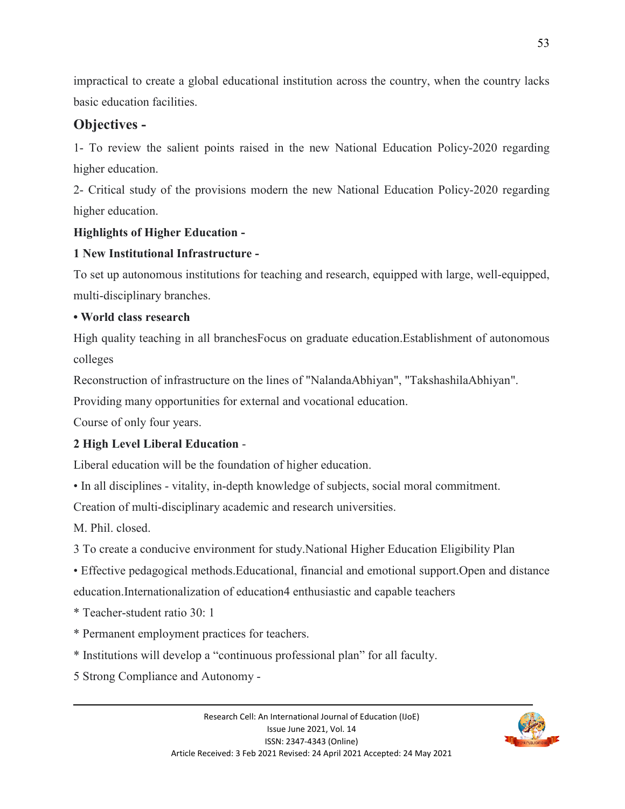impractical to create a global educational institution across the country, when the country lacks basic education facilities.

# **Objectives -**

1- To review the salient points raised in the new National Education Policy-2020 regarding higher education.

2- Critical study of the provisions modern the new National Education Policy-2020 regarding higher education.

#### **Highlights of Higher Education -**

### **1 New Institutional Infrastructure -**

To set up autonomous institutions for teaching and research, equipped with large, well-equipped, multi-disciplinary branches.

#### **• World class research**

High quality teaching in all branchesFocus on graduate education.Establishment of autonomous colleges

Reconstruction of infrastructure on the lines of "NalandaAbhiyan", "TakshashilaAbhiyan".

Providing many opportunities for external and vocational education.

Course of only four years.

# **2 High Level Liberal Education** -

Liberal education will be the foundation of higher education.

• In all disciplines - vitality, in-depth knowledge of subjects, social moral commitment.

Creation of multi-disciplinary academic and research universities.

M. Phil. closed.

3 To create a conducive environment for study.National Higher Education Eligibility Plan

• Effective pedagogical methods.Educational, financial and emotional support.Open and distance

education.Internationalization of education4 enthusiastic and capable teachers

\* Teacher-student ratio 30: 1

- \* Permanent employment practices for teachers.
- \* Institutions will develop a "continuous professional plan" for all faculty.
- 5 Strong Compliance and Autonomy -

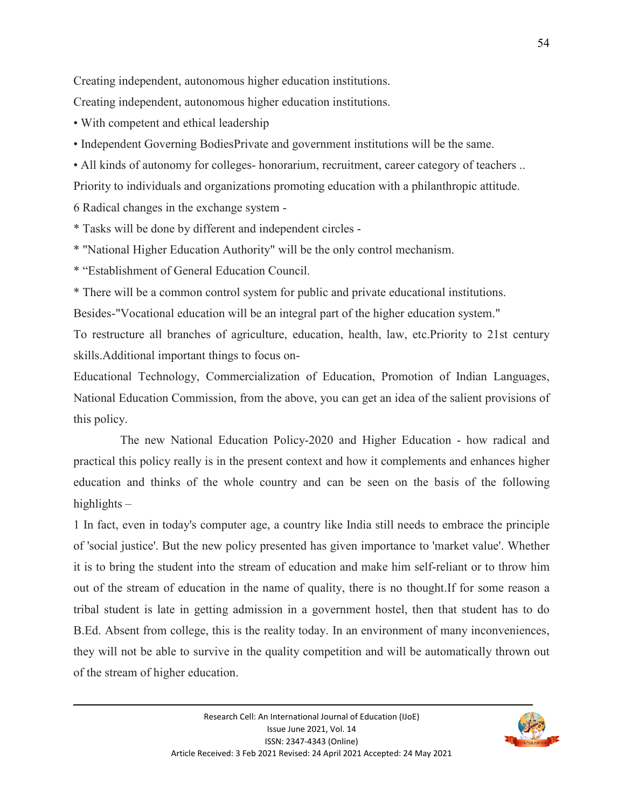Creating independent, autonomous higher education institutions.

Creating independent, autonomous higher education institutions.

• With competent and ethical leadership

• Independent Governing BodiesPrivate and government institutions will be the same.

• All kinds of autonomy for colleges- honorarium, recruitment, career category of teachers ..

Priority to individuals and organizations promoting education with a philanthropic attitude.

6 Radical changes in the exchange system -

\* Tasks will be done by different and independent circles -

\* "National Higher Education Authority" will be the only control mechanism.

\* "Establishment of General Education Council.

\* There will be a common control system for public and private educational institutions.

Besides-"Vocational education will be an integral part of the higher education system."

To restructure all branches of agriculture, education, health, law, etc.Priority to 21st century skills.Additional important things to focus on-

Educational Technology, Commercialization of Education, Promotion of Indian Languages, National Education Commission, from the above, you can get an idea of the salient provisions of this policy.

 The new National Education Policy-2020 and Higher Education - how radical and practical this policy really is in the present context and how it complements and enhances higher education and thinks of the whole country and can be seen on the basis of the following highlights –

1 In fact, even in today's computer age, a country like India still needs to embrace the principle of 'social justice'. But the new policy presented has given importance to 'market value'. Whether it is to bring the student into the stream of education and make him self-reliant or to throw him out of the stream of education in the name of quality, there is no thought.If for some reason a tribal student is late in getting admission in a government hostel, then that student has to do B.Ed. Absent from college, this is the reality today. In an environment of many inconveniences, they will not be able to survive in the quality competition and will be automatically thrown out of the stream of higher education.

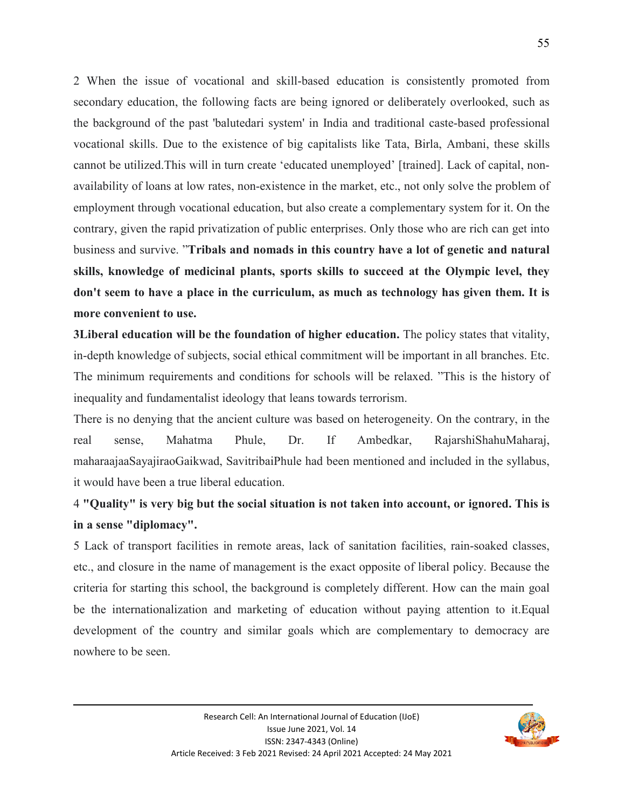2 When the issue of vocational and skill-based education is consistently promoted from secondary education, the following facts are being ignored or deliberately overlooked, such as the background of the past 'balutedari system' in India and traditional caste-based professional vocational skills. Due to the existence of big capitalists like Tata, Birla, Ambani, these skills cannot be utilized.This will in turn create 'educated unemployed' [trained]. Lack of capital, nonavailability of loans at low rates, non-existence in the market, etc., not only solve the problem of employment through vocational education, but also create a complementary system for it. On the contrary, given the rapid privatization of public enterprises. Only those who are rich can get into business and survive. "**Tribals and nomads in this country have a lot of genetic and natural skills, knowledge of medicinal plants, sports skills to succeed at the Olympic level, they don't seem to have a place in the curriculum, as much as technology has given them. It is more convenient to use.**

**3Liberal education will be the foundation of higher education.** The policy states that vitality, in-depth knowledge of subjects, social ethical commitment will be important in all branches. Etc. The minimum requirements and conditions for schools will be relaxed. "This is the history of inequality and fundamentalist ideology that leans towards terrorism.

There is no denying that the ancient culture was based on heterogeneity. On the contrary, in the real sense, Mahatma Phule, Dr. If Ambedkar, RajarshiShahuMaharaj, maharaajaaSayajiraoGaikwad, SavitribaiPhule had been mentioned and included in the syllabus, it would have been a true liberal education.

# 4 **"Quality" is very big but the social situation is not taken into account, or ignored. This is in a sense "diplomacy".**

5 Lack of transport facilities in remote areas, lack of sanitation facilities, rain-soaked classes, etc., and closure in the name of management is the exact opposite of liberal policy. Because the criteria for starting this school, the background is completely different. How can the main goal be the internationalization and marketing of education without paying attention to it.Equal development of the country and similar goals which are complementary to democracy are nowhere to be seen.